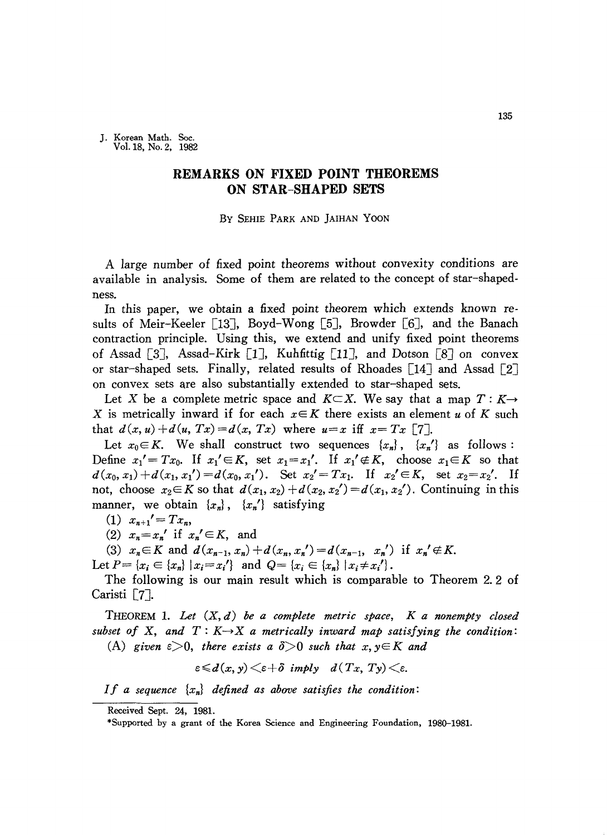J. Korean Math. Soc. Vo1.18, No. 2, 1982

## **REMARKS ON FIXED POINT THEOREMS ON STAR-SHAPED SETS**

## By SEHIE PARK AND ]AIHAN YOON

A large number of fixed point theorems without convexity conditions are available in analysis. Some of them are related to the concept of star-shapedness.

In this paper, we obtain a fixed point theorem which extends known results of Meir-Keeler [13], Boyd-Wong [5], Browder [6], and the Banach contraction principle. Using this, we extend and unify fixed point theorems of Assad [3], Assad-Kirk [1], Kuhfittig [11], and Dotson [8] on convex or star-shaped sets. Finally, related results of Rhoades [14] and Assad [2] on convex sets are also substantially extended to star-shaped sets.

Let X be a complete metric space and  $K\subset X$ . We say that a map  $T: K\rightarrow$ X is metrically inward if for each  $x \in K$  there exists an element *u* of K such that  $d(x, u) + d(u, Tx) = d(x, Tx)$  where  $u=x$  iff  $x=Tx$  [7].

Let  $x_0 \in K$ . We shall construct two sequences  $\{x_n\}$ ,  $\{x_n'\}$  as follows: Define  $x_1' = Tx_0$ . If  $x_1' \in K$ , set  $x_1 = x_1'$ . If  $x_1' \notin K$ , choose  $x_1 \in K$  so that  $d(x_0, x_1) + d(x_1, x_1') = d(x_0, x_1')$ . Set  $x_2' = Tx_1$ . If  $x_2' \in K$ , set  $x_2 = x_2'$ . If not, choose  $x_2 \in K$  so that  $d(x_1, x_2) + d(x_2, x_2') = d(x_1, x_2')$ . Continuing in this manner, we obtain  ${x_n}$ ,  ${x_n}'$  satisfying

 $(1)$   $x_{n+1}' = Tx_n$ 

(2)  $x_n = x_n'$  if  $x_n' \in K$ , and

(3)  $x_n \in K$  and  $d(x_{n-1}, x_n) + d(x_n, x_n') = d(x_{n-1}, x_n')$  if  $x_n' \notin K$ .

Let  $P = \{x_i \in \{x_n\} \mid x_i = x_i'\}$  and  $Q = \{x_i \in \{x_n\} \mid x_i \neq x_i'\}$ .

The following is our main result which is comparable to Theorem 2.2 of Caristi [7].

THEOREM 1. *Let (X, d) be a complete metric space, K a nonempty closed subset* of X, and  $T: K \rightarrow X$  a metrically inward map satisfying the condition: (A) given  $\epsilon > 0$ , there exists a  $\delta > 0$  such that  $x, y \in K$  and

$$
\varepsilon \leq d(x, y) \leq \varepsilon + \delta \implies d(T_x, T_y) \leq \varepsilon.
$$

If a sequence  $\{x_n\}$  defined as above satisfies the condition:

Received Sept. 24, 1981.

<sup>\*</sup>Supported by a grant of the Korea Science and Engineering Foundation, 1980-1981.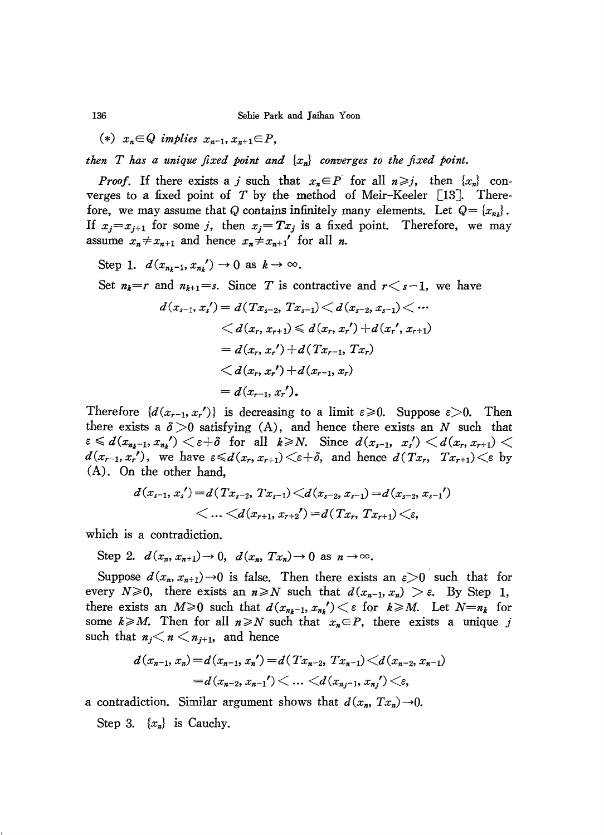$$
(*) x_n \in Q \implies x_{n-1}, x_{n+1} \in P,
$$

*then T has a unique fixed point and {xn} converges to the fixed point.*

*Proof.* If there exists a *j* such that  $x_n \in P$  for all  $n \geq j$ , then  $\{x_n\}$  converges to a fixed point of  $T$  by the method of Meir-Keeler [13]. Therefore, we may assume that Q contains infinitely many elements. Let  $Q = \{x_{n}\}\$ . If  $x_j = x_{j+1}$  for some j, then  $x_j = Tx_j$  is a fixed point. Therefore, we may assume  $x_n \neq x_{n+1}$  and hence  $x_n \neq x_{n+1}'$  for all *n*.

Step 1.  $d(x_{n_k-1}, x_{n_k}) \rightarrow 0$  as  $k \rightarrow \infty$ .

Set  $n_k=r$  and  $n_{k+1}=s$ . Since T is contractive and  $r \leq s-1$ , we have

$$
d(x_{s-1}, x_s') = d(Tx_{s-2}, Tx_{s-1}) \le d(x_{s-2}, x_{s-1}) \le \cdots
$$
  

$$
\le d(x_r, x_{r+1}) \le d(x_r, x_r') + d(x_r', x_{r+1})
$$
  

$$
= d(x_r, x_r') + d(Tx_{r-1}, Tx_r)
$$
  

$$
\le d(x_r, x_r') + d(x_{r-1}, x_r)
$$
  

$$
= d(x_{r-1}, x_r').
$$

Therefore  $\{d(x_{r-1}, x_r')\}$  is decreasing to a limit  $\varepsilon \geq 0$ . Suppose  $\varepsilon > 0$ . Then there exists a  $\delta > 0$  satisfying (A), and hence there exists an *N* such that  $e \le d(x_{n_k-1}, x_{n_k}) \le e+\delta$  for all  $k \ge N$ . Since  $d(x_{s-1}, x_s') \le d(x_r, x_{r+1})$  $d(x_{r-1}, x_r')$ , we have  $\epsilon \le d(x_r, x_{r+1}) \le \epsilon + \delta$ , and hence  $d(Tx_r, Tx_{r+1}) \le \epsilon$  by (A). On the other hand,

$$
\begin{aligned} d(x_{s-1},x_s')\!=\!d(Tx_{s-2},\,Tx_{s-1})\!<\!\!d(x_{s-2},x_{s-1})\!=\!d(x_{s-2},x_{s-1}')\\ <&\ldots<\!\!d(x_{r+1},x_{r+2}')\!=\!d(Tx_r,\,Tx_{r+1})\!<\!\!\varepsilon,\end{aligned}
$$

which is a contradiction.

Step 2.  $d(x_n, x_{n+1}) \rightarrow 0$ ,  $d(x_n, Tx_n) \rightarrow 0$  as  $n \rightarrow \infty$ .

Suppose  $d(x_n, x_{n+1}) \rightarrow 0$  is false. Then there exists an  $\varepsilon > 0$  such that for every  $N \ge 0$ , there exists an  $n \ge N$  such that  $d(x_{n-1}, x_n) > \varepsilon$ . By Step 1, there exists an  $M \ge 0$  such that  $d(x_{n_k-1}, x_{n_k}) < \varepsilon$  for  $k \ge M$ . Let  $N=n_k$  for some  $k \ge M$ . Then for all  $n \ge N$  such that  $x_n \in P$ , there exists a unique j such that  $n_j < n < n_{j+1}$ , and hence

$$
d(x_{n-1}, x_n) = d(x_{n-1}, x_n') = d(Tx_{n-2}, Tx_{n-1}) < d(x_{n-2}, x_{n-1})
$$
  
=  $d(x_{n-2}, x_{n-1'}) < ... < d(x_{n,j-1}, x_{n,j'}) < \varepsilon$ ,

a contradiction. Similar argument shows that  $d(x_n, Tx_n) \rightarrow 0$ .

Step 3. {x*n}* is Cauchy.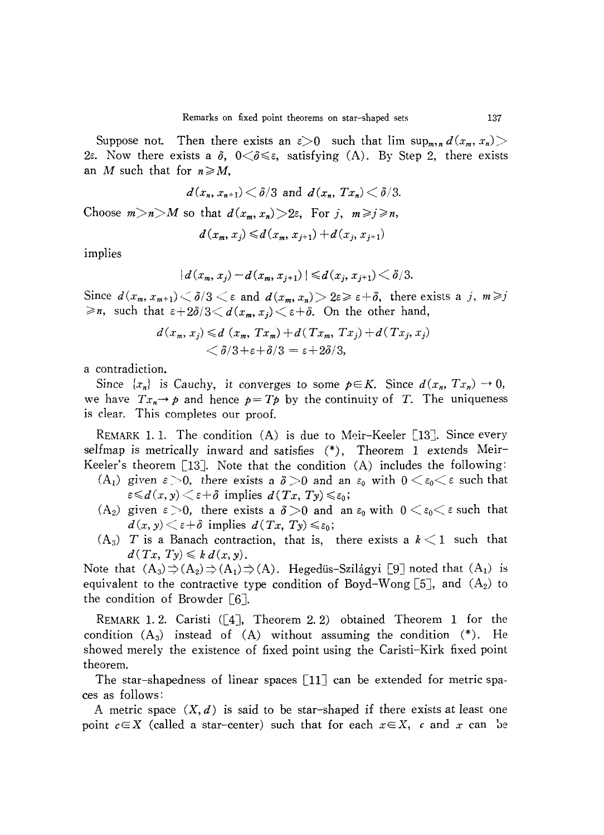Suppose not. Then there exists an  $\varepsilon > 0$  such that  $\lim \sup_{m,n} d(x_m, x_n) >$ 2 $\varepsilon$ . Now there exists a  $\delta$ ,  $0 < \delta \leq \varepsilon$ , satisfying (A). By Step 2, there exists an *M* such that for  $n \ge M$ ,

$$
d(x_n,x_{n+1}) < \delta/3 \text{ and } d(x_n,Tx_n) < \delta/3.
$$

Choose  $m>n>M$  so that  $d(x_m, x_n) > 2\varepsilon$ , For j,  $m \ge j \ge n$ ,

$$
d\left(x_{m},x_{j}\right) \leqslant d\left(x_{m},x_{j+1}\right)+d\left(x_{j},x_{j+1}\right)
$$

implies

$$
|d(x_m, x_j) - d(x_m, x_{j+1})| \le d(x_j, x_{j+1}) < \delta/3.
$$

Since  $d(x_m, x_{m+1}) \leq \delta/3 \leq \varepsilon$  and  $d(x_m, x_n) > 2\varepsilon \geq \varepsilon + \delta$ , there exists a j,  $m \geq j$  $\geq n$ , such that  $\epsilon + 2\delta/3 < d(x_m, x_j) < \epsilon + \delta$ . On the other hand,

$$
d(x_m, x_j) \le d(x_m, Tx_m) + d(Tx_m, Tx_j) + d(Tx_j, x_j)
$$
  

$$
< \delta/3 + \varepsilon + \delta/3 = \varepsilon + 2\delta/3,
$$

a contradiction.

Since  $\{x_n\}$  is Cauchy, it converges to some  $p \in K$ . Since  $d(x_n, Tx_n) \to 0$ , we have  $Tx_n \rightarrow p$  and hence  $p = Tp$  by the continuity of *T*. The uniqueness is clear. This completes our proof.

REMARK 1.1. The condition  $(A)$  is due to Meir-Keeler [13]. Since every selfmap is metrically inward and satisfies (\*), Theorem 1 extends Meir-Keeler's theorem [13]. Note that the condition  $(A)$  includes the following:

- $(A_1)$  given  $\varepsilon > 0$ , there exists a  $\delta > 0$  and an  $\varepsilon_0$  with  $0 < \varepsilon_0 < \varepsilon$  such that  $\epsilon \leq d(x, y) \leq \epsilon + \delta$  implies  $d(Tx, Ty) \leq \epsilon_0$ ;
- (A<sub>2</sub>) given  $\varepsilon > 0$ , there exists a  $\delta > 0$  and an  $\varepsilon_0$  with  $0 < \varepsilon_0 < \varepsilon$  such that  $d(x, y) \leq \varepsilon + \delta$  implies  $d(Tx, Ty) \leq \varepsilon_0$ ;
- $(A_3)$  *T* is a Banach contraction, that is, there exists a  $k < 1$  such that  $d(Tx, Ty) \leqslant k d(x,y).$

Note that  $(A_3) \Rightarrow (A_2) \Rightarrow (A_1) \Rightarrow (A)$ . Hegediis-Szilágyi [9] noted that  $(A_1)$  is equivalent to the contractive type condition of Boyd-Wong  $[5]$ , and  $(A_2)$  to the condition of Browder [6].

REMARK 1. 2. Caristi ([4J, Theorem 2. 2) obtained Theorem 1 for the condition  $(A_3)$  instead of  $(A)$  without assuming the condition  $(*)$ . He showed merely the existence of fixed point using the Caristi-Kirk fixed point theorem.

The star-shapedness of linear spaces  $[11]$  can be extended for metric spaces as follows:

A metric space  $(X, d)$  is said to be star-shaped if there exists at least one point  $c \in X$  (called a star-center) such that for each  $x \in X$ , *c* and *x* can be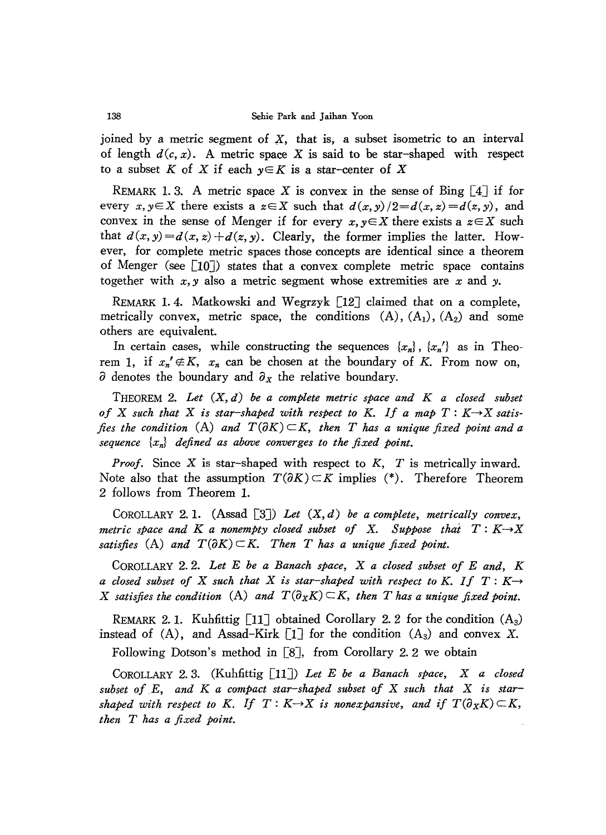joined by a metric segment of X, that is, a subset isometric to an interval of length  $d(c, x)$ . A metric space X is said to be star-shaped with respect to a subset *K* of *X* if each  $y \in K$  is a star-center of *X* 

REMARK 1.3. A metric space X is convex in the sense of Bing  $\begin{bmatrix} 4 \end{bmatrix}$  if for every  $x, y \in X$  there exists a  $z \in X$  such that  $d(x, y)/2 = d(x, z) = d(z, y)$ , and convex in the sense of Menger if for every  $x, y \in X$  there exists a  $z \in X$  such that  $d(x, y) = d(x, z) + d(z, y)$ . Clearly, the former implies the latter. However, for complete metric spaces those concepts are identical since a theorem of Menger (see  $\lceil 10 \rceil$ ) states that a convex complete metric space contains together with *x, y* also a metric segment whose extremities are *x* and *y.*

REMARK 1.4. Matkowski and Wegrzyk [12] claimed that on a complete, metrically convex, metric space, the conditions  $(A)$ ,  $(A_1)$ ,  $(A_2)$  and some others are equivalent.

In certain cases, while constructing the sequences  $\{x_n\}$ ,  $\{x_n'\}$  as in Theorem 1, if  $x_n' \notin K$ ,  $x_n$  can be chosen at the boundary of K. From now on,  $\partial$  denotes the boundary and  $\partial_x$  the relative boundary.

THEOREM 2. *Let (X, d) be a complete metric space and K a closed subset* of X such that X is star-shaped with respect to K. If a map  $T: K \rightarrow X$  satis*fies* the condition  $(A)$  and  $T(\partial K) \subset K$ , then T has a unique fixed point and a *sequence {xn} defined as above converges to the fixed point.*

*Proof.* Since X is star-shaped with respect to *K, T* is metrically inward. Note also that the assumption  $T(\partial K) \subset K$  implies (\*). Therefore Theorem 2 follows from Theorem 1.

COROLLARY 2. 1. (Assad [3J) *Let (X, d) be a complete, metrically convex, metric space and K a nonempty closed subset of* X. *Suppose that T: K-+X* satisfies (A) and  $T(\partial K) \subset K$ . Then *T* has a unique fixed point.

COROLLARY 2. 2. *Let E be a Banach space,* X *a closed subset of E and, K a* closed subset of X such that X is star-shaped with respect to K. If  $T: K \rightarrow$ X satisfies the condition (A) and  $T(\partial_X K) \subset K$ , then T has a unique fixed point.

REMARK 2.1. Kuhfittig [11] obtained Corollary 2.2 for the condition  $(A_3)$ instead of (A), and Assad-Kirk  $\begin{bmatrix} 1 \end{bmatrix}$  for the condition (A<sub>3</sub>) and convex X.

Following Dotson's method in [8], from Corollary 2.2 we obtain

COROLLARY 2. 3. (Kuhfittig [l1J) *Let E be a Banach space,* X *a closed subset ofE, and K a compact star-shaped subset of* X *such that* X *is starshaped* with respect to K. If  $T: K \rightarrow X$  is nonexpansive, and if  $T(\partial_X K) \subset K$ , *then T has a fixed point.*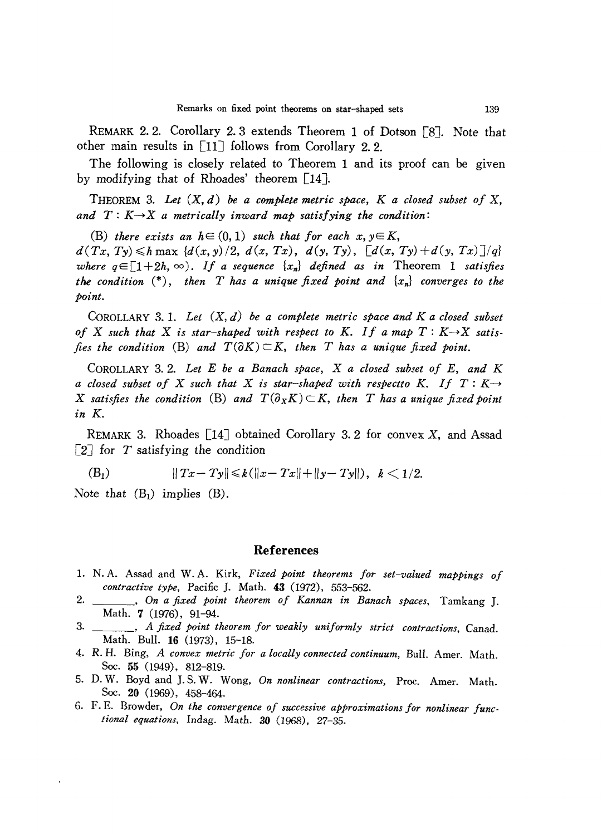REMARK 2.2. Corollary 2.3 extends Theorem 1 of Dotson [8J. Note that other main results in [l1J follows from Corollary 2. 2.

The following is closely related to Theorem 1 and its proof can be given by modifying that of Rhoades' theorem [14].

THEOREM 3. *Let (X, d) be a complete metric space, K a closed subset of* X, and  $T: K \rightarrow X$  *a* metrically inward map satisfying the condition:

(B) there exists an  $h \in (0, 1)$  such that for each  $x, y \in K$ ,

 $d(Tx, Ty) \le h \max \{d(x,y)/2, d(x, Tx), d(y, Ty), [d(x, Ty) + d(y, Tx)]/q\}$ *where*  $q \in [1+2h, \infty)$ . If a sequence  $\{x_n\}$  defined as in Theorem 1 satisfies *the condition* (\*), *then T has a unique fixed point and {xn} converges to the point.*

COROLLARY 3. 1. *Let* (X, *d) be a complete metric space and K a closed subset* of X such that X is star-shaped with respect to K. If a map  $T: K \rightarrow X$  satis*fies* the condition (B) and  $T(\partial K) \subset K$ , then *T* has a unique fixed point.

COROLLARY 3.2. *Let* E *be a Banach space,* X *a closed subset of* E, *and K a* closed subset of X such that X is star-shaped with respectto K. If  $T: K \rightarrow$ X satisfies the condition (B) and  $T(\partial_X K) \subset K$ , then T has a unique fixed point *in K.*

REMARK 3. Rhoades  $[14]$  obtained Corollary 3.2 for convex X, and Assad  $\begin{bmatrix} 2 \end{bmatrix}$  for T satisfying the condition

(B<sub>1</sub>) 
$$
||Tx - Ty|| \le k(||x - Tx|| + ||y - Ty||), k < 1/2.
$$

Note that  $(B_1)$  implies  $(B)$ .

## References

- 1. N. A. Assad and W. A. Kirk, *Fixed point theorems for set-valued mappings of contractive type,* Pacific]. Math. 43 (1972), 553-562.
- 2. , *On a fixed point theorem of Kannan in Banach spaces,* Tamkang]. Math. 7 (1976), 91-94.
- 3. , *A fixed point theorem for weakly uniformly strict contractions,* Canad. Math. Bull. 16 (1973), 15-18-
- 4. R. H. Bing, *A convex metric for a locally connected continuum,* Bull. Amer. Math. Soc. 55 (1949), 812-819.
- 5. D. W. Boyd and ]. S. W. Wong, *On nonlinear contractions,* Proc. Amer. Math. Soc. 20 (1969), 458-464.
- 6. F. E. Browder, *On the convergence of successive approximations for nonlinear functional equations,* Indag. Math. 30 (1968), 27-35.